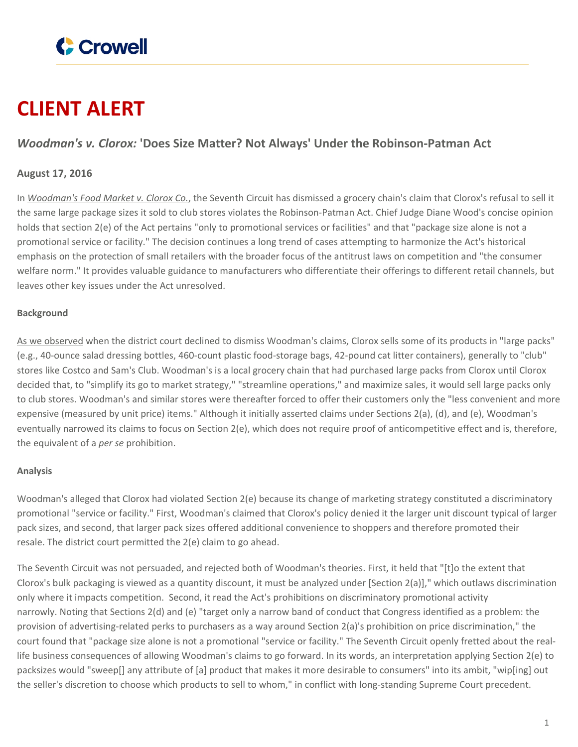

# **CLIENT ALERT**

## *Woodman's v. Clorox:* **'Does Size Matter? Not Always' Under the Robinson-Patman Act**

### **August 17, 2016**

In *[Woodman's](http://media.ca7.uscourts.gov/cgi-bin/rssExec.pl?Submit=Display&Path=Y2016/D08-12/C:15-3001:J:Wood:aut:T:fnOp:N:1810276:S:0) Food Market v. Clorox Co.*, the Seventh Circuit has dismissed a grocery chain's claim that Clorox's refusal to sell it the same large package sizes it sold to club stores violates the Robinson-Patman Act. Chief Judge Diane Wood's concise opinion holds that section 2(e) of the Act pertains "only to promotional services or facilities" and that "package size alone is not a promotional service or facility." The decision continues a long trend of cases attempting to harmonize the Act's historical emphasis on the protection of small retailers with the broader focus of the antitrust laws on competition and "the consumer welfare norm." It provides valuable guidance to manufacturers who differentiate their offerings to different retail channels, but leaves other key issues under the Act unresolved.

#### **Background**

As we [observed](https://www.crowell.com/NewsEvents/AlertsNewsletters/all/Do-Different-Size-Packages-Violate-the-Robinson-Patman-Act) when the district court declined to dismiss Woodman's claims, Clorox sells some of its products in "large packs" (e.g., 40-ounce salad dressing bottles, 460-count plastic food-storage bags, 42-pound cat litter containers), generally to "club" stores like Costco and Sam's Club. Woodman's is a local grocery chain that had purchased large packs from Clorox until Clorox decided that, to "simplify its go to market strategy," "streamline operations," and maximize sales, it would sell large packs only to club stores. Woodman's and similar stores were thereafter forced to offer their customers only the "less convenient and more expensive (measured by unit price) items." Although it initially asserted claims under Sections 2(a), (d), and (e), Woodman's eventually narrowed its claims to focus on Section 2(e), which does not require proof of anticompetitive effect and is, therefore, the equivalent of a *per se* prohibition.

#### **Analysis**

Woodman's alleged that Clorox had violated Section 2(e) because its change of marketing strategy constituted a discriminatory promotional "service or facility." First, Woodman's claimed that Clorox's policy denied it the larger unit discount typical of larger pack sizes, and second, that larger pack sizes offered additional convenience to shoppers and therefore promoted their resale. The district court permitted the 2(e) claim to go ahead.

The Seventh Circuit was not persuaded, and rejected both of Woodman's theories. First, it held that "[t]o the extent that Clorox's bulk packaging is viewed as a quantity discount, it must be analyzed under [Section 2(a)]," which outlaws discrimination only where it impacts competition. Second, it read the Act's prohibitions on discriminatory promotional activity narrowly. Noting that Sections 2(d) and (e) "target only a narrow band of conduct that Congress identified as a problem: the provision of advertising-related perks to purchasers as a way around Section 2(a)'s prohibition on price discrimination," the court found that "package size alone is not a promotional "service or facility." The Seventh Circuit openly fretted about the reallife business consequences of allowing Woodman's claims to go forward. In its words, an interpretation applying Section 2(e) to packsizes would "sweep[] any attribute of [a] product that makes it more desirable to consumers" into its ambit, "wip[ing] out the seller's discretion to choose which products to sell to whom," in conflict with long-standing Supreme Court precedent.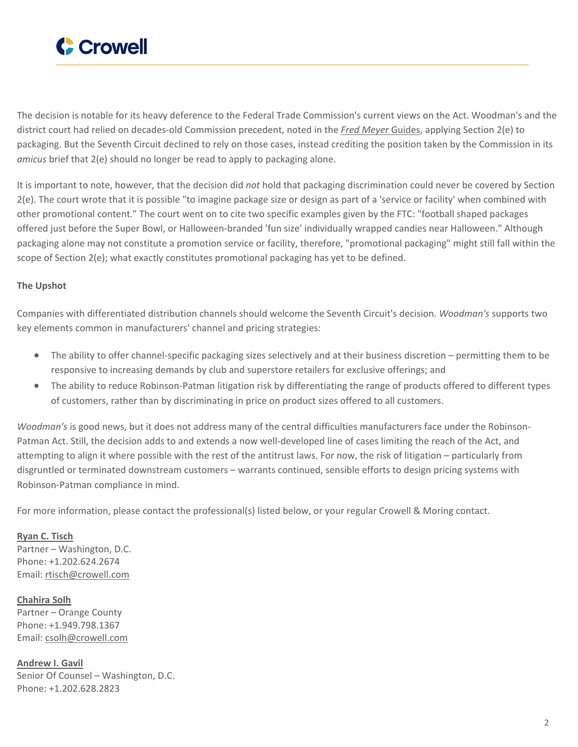

The decision is notable for its heavy deference to the Federal Trade Commission's current views on the Act. Woodman's and the district court had relied on decades-old Commission precedent, noted in the *Fred Meyer* [Guides](https://www.ftc.gov/node/116933), applying Section 2(e) to packaging. But the Seventh Circuit declined to rely on those cases, instead crediting the position taken by the Commission in its *amicus* brief that 2(e) should no longer be read to apply to packaging alone.

It is important to note, however, that the decision did *not* hold that packaging discrimination could never be covered by Section 2(e). The court wrote that it is possible "to imagine package size or design as part of a 'service or facility' when combined with other promotional content." The court went on to cite two specific examples given by the FTC: "football shaped packages offered just before the Super Bowl, or Halloween-branded 'fun size' individually wrapped candies near Halloween." Although packaging alone may not constitute a promotion service or facility, therefore, "promotional packaging" might still fall within the scope of Section 2(e); what exactly constitutes promotional packaging has yet to be defined.

#### **The Upshot**

Companies with differentiated distribution channels should welcome the Seventh Circuit's decision. *Woodman's* supports two key elements common in manufacturers' channel and pricing strategies:

- The ability to offer channel-specific packaging sizes selectively and at their business discretion permitting them to be responsive to increasing demands by club and superstore retailers for exclusive offerings; and
- The ability to reduce Robinson-Patman litigation risk by differentiating the range of products offered to different types of customers, rather than by discriminating in price on product sizes offered to all customers.

*Woodman's* is good news, but it does not address many of the central difficulties manufacturers face under the Robinson-Patman Act. Still, the decision adds to and extends a now well-developed line of cases limiting the reach of the Act, and attempting to align it where possible with the rest of the antitrust laws. For now, the risk of litigation – particularly from disgruntled or terminated downstream customers – warrants continued, sensible efforts to design pricing systems with Robinson-Patman compliance in mind.

For more information, please contact the professional(s) listed below, or your regular Crowell & Moring contact.

**Ryan C. [Tisch](https://www.crowell.com/professionals/Ryan-Tisch)** Partner – Washington, D.C. Phone: +1.202.624.2674 Email: [rtisch@crowell.com](mailto:rtisch@crowell.com)

**[Chahira](https://www.crowell.com/professionals/Chahira-Solh) Solh** Partner – Orange County Phone: +1.949.798.1367 Email: [csolh@crowell.com](mailto:csolh@crowell.com)

**[Andrew](https://www.crowell.com/professionals/Andrew-Gavil) I. Gavil** Senior Of Counsel – Washington, D.C. Phone: +1.202.628.2823